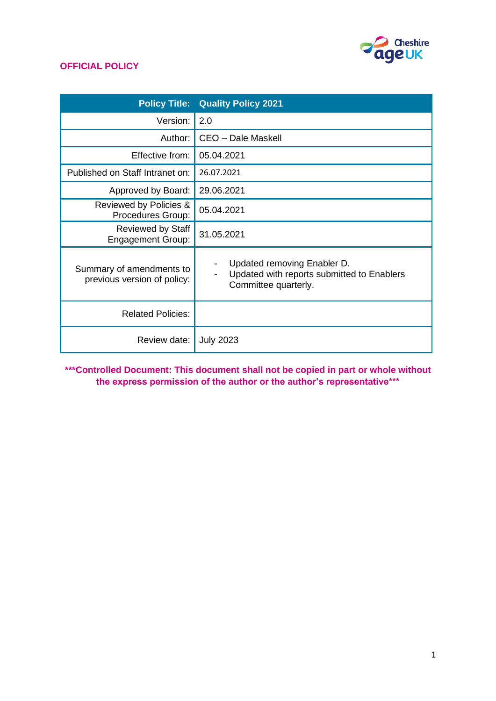

| <b>Policy Title:</b>                                    | <b>Quality Policy 2021</b>                                                                        |
|---------------------------------------------------------|---------------------------------------------------------------------------------------------------|
| Version:                                                | 2.0                                                                                               |
| Author:                                                 | CEO - Dale Maskell                                                                                |
| Effective from:                                         | 05.04.2021                                                                                        |
| Published on Staff Intranet on:                         | 26.07.2021                                                                                        |
| Approved by Board:                                      | 29.06.2021                                                                                        |
| Reviewed by Policies &<br>Procedures Group:             | 05.04.2021                                                                                        |
| Reviewed by Staff<br><b>Engagement Group:</b>           | 31.05.2021                                                                                        |
| Summary of amendments to<br>previous version of policy: | Updated removing Enabler D.<br>Updated with reports submitted to Enablers<br>Committee quarterly. |
| <b>Related Policies:</b>                                |                                                                                                   |
| Review date:                                            | <b>July 2023</b>                                                                                  |

**\*\*\*Controlled Document: This document shall not be copied in part or whole without the express permission of the author or the author's representative\*\*\***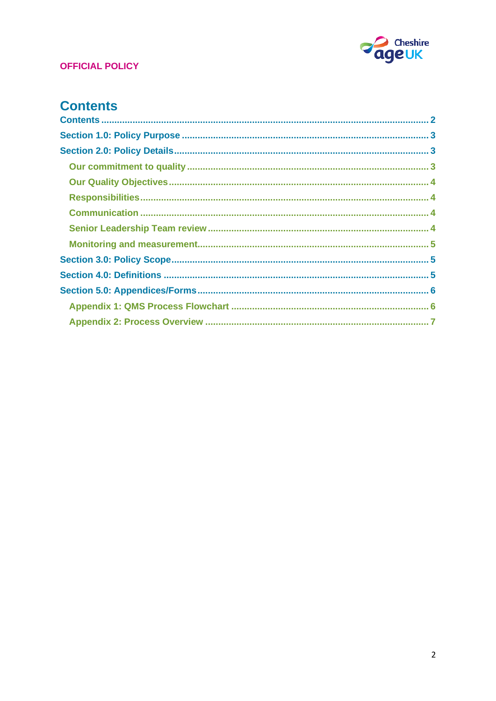

# <span id="page-1-0"></span>**Contents**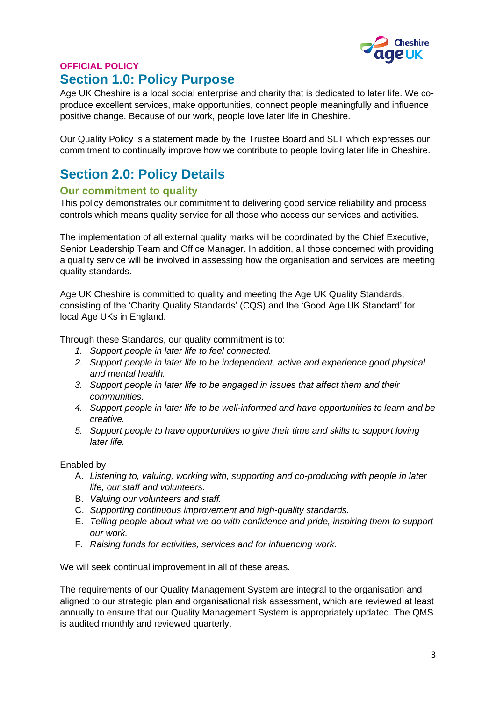

# <span id="page-2-0"></span>**OFFICIAL POLICY Section 1.0: Policy Purpose**

Age UK Cheshire is a local social enterprise and charity that is dedicated to later life. We coproduce excellent services, make opportunities, connect people meaningfully and influence positive change. Because of our work, people love later life in Cheshire.

Our Quality Policy is a statement made by the Trustee Board and SLT which expresses our commitment to continually improve how we contribute to people loving later life in Cheshire.

# <span id="page-2-1"></span>**Section 2.0: Policy Details**

## <span id="page-2-2"></span>**Our commitment to quality**

This policy demonstrates our commitment to delivering good service reliability and process controls which means quality service for all those who access our services and activities.

The implementation of all external quality marks will be coordinated by the Chief Executive, Senior Leadership Team and Office Manager. In addition, all those concerned with providing a quality service will be involved in assessing how the organisation and services are meeting quality standards.

Age UK Cheshire is committed to quality and meeting the Age UK Quality Standards, consisting of the 'Charity Quality Standards' (CQS) and the 'Good Age UK Standard' for local Age UKs in England.

Through these Standards, our quality commitment is to:

- *1. Support people in later life to feel connected.*
- *2. Support people in later life to be independent, active and experience good physical and mental health.*
- *3. Support people in later life to be engaged in issues that affect them and their communities.*
- *4. Support people in later life to be well-informed and have opportunities to learn and be creative.*
- *5. Support people to have opportunities to give their time and skills to support loving later life.*

### Enabled by

- A. *Listening to, valuing, working with, supporting and co-producing with people in later life, our staff and volunteers.*
- B. *Valuing our volunteers and staff.*
- C. *Supporting continuous improvement and high-quality standards.*
- E. *Telling people about what we do with confidence and pride, inspiring them to support our work.*
- F. *Raising funds for activities, services and for influencing work.*

We will seek continual improvement in all of these areas.

The requirements of our Quality Management System are integral to the organisation and aligned to our strategic plan and organisational risk assessment, which are reviewed at least annually to ensure that our Quality Management System is appropriately updated. The QMS is audited monthly and reviewed quarterly.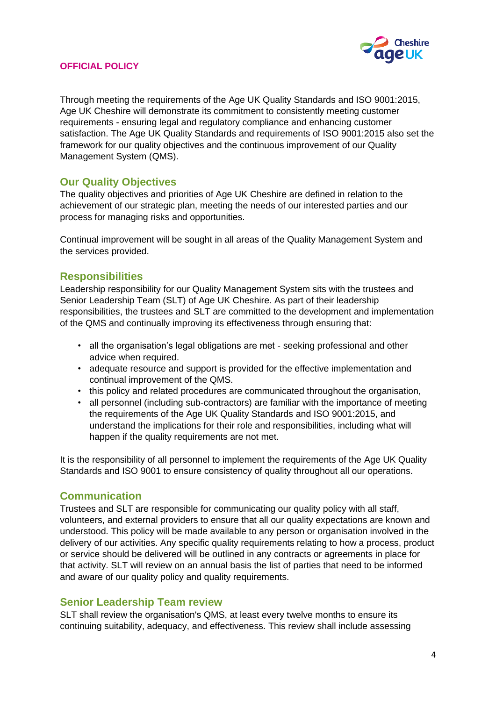

Through meeting the requirements of the Age UK Quality Standards and ISO 9001:2015, Age UK Cheshire will demonstrate its commitment to consistently meeting customer requirements - ensuring legal and regulatory compliance and enhancing customer satisfaction. The Age UK Quality Standards and requirements of ISO 9001:2015 also set the framework for our quality objectives and the continuous improvement of our Quality Management System (QMS).

### <span id="page-3-0"></span>**Our Quality Objectives**

The quality objectives and priorities of Age UK Cheshire are defined in relation to the achievement of our strategic plan, meeting the needs of our interested parties and our process for managing risks and opportunities.

Continual improvement will be sought in all areas of the Quality Management System and the services provided.

#### <span id="page-3-1"></span>**Responsibilities**

Leadership responsibility for our Quality Management System sits with the trustees and Senior Leadership Team (SLT) of Age UK Cheshire. As part of their leadership responsibilities, the trustees and SLT are committed to the development and implementation of the QMS and continually improving its effectiveness through ensuring that:

- all the organisation's legal obligations are met seeking professional and other advice when required.
- adequate resource and support is provided for the effective implementation and continual improvement of the QMS.
- this policy and related procedures are communicated throughout the organisation,
- all personnel (including sub-contractors) are familiar with the importance of meeting the requirements of the Age UK Quality Standards and ISO 9001:2015, and understand the implications for their role and responsibilities, including what will happen if the quality requirements are not met.

It is the responsibility of all personnel to implement the requirements of the Age UK Quality Standards and ISO 9001 to ensure consistency of quality throughout all our operations.

### <span id="page-3-2"></span>**Communication**

Trustees and SLT are responsible for communicating our quality policy with all staff, volunteers, and external providers to ensure that all our quality expectations are known and understood. This policy will be made available to any person or organisation involved in the delivery of our activities. Any specific quality requirements relating to how a process, product or service should be delivered will be outlined in any contracts or agreements in place for that activity. SLT will review on an annual basis the list of parties that need to be informed and aware of our quality policy and quality requirements.

#### <span id="page-3-3"></span>**Senior Leadership Team review**

SLT shall review the organisation's QMS, at least every twelve months to ensure its continuing suitability, adequacy, and effectiveness. This review shall include assessing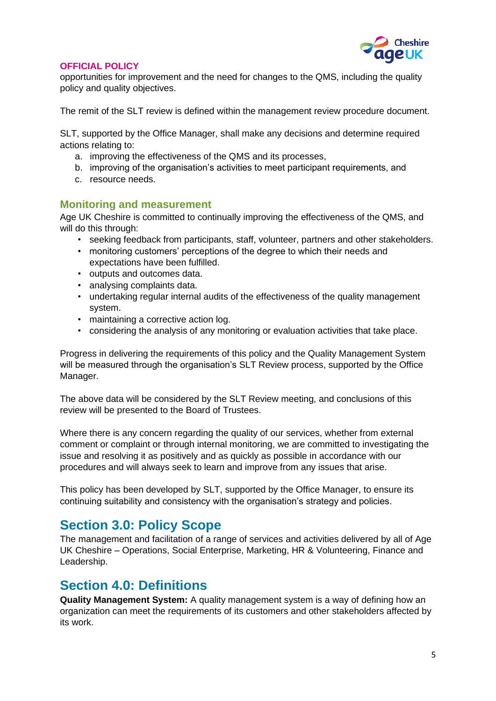

opportunities for improvement and the need for changes to the QMS, including the quality policy and quality objectives.

The remit of the SLT review is defined within the management review procedure document.

SLT, supported by the Office Manager, shall make any decisions and determine required actions relating to:

- a. improving the effectiveness of the QMS and its processes,
- b. improving of the organisation's activities to meet participant requirements, and
- c. resource needs.

#### <span id="page-4-0"></span>**Monitoring and measurement**

Age UK Cheshire is committed to continually improving the effectiveness of the QMS, and will do this through:

- seeking feedback from participants, staff, volunteer, partners and other stakeholders.
- monitoring customers' perceptions of the degree to which their needs and expectations have been fulfilled.
- outputs and outcomes data.
- analysing complaints data.
- undertaking regular internal audits of the effectiveness of the quality management system.
- maintaining a corrective action log.
- considering the analysis of any monitoring or evaluation activities that take place.

Progress in delivering the requirements of this policy and the Quality Management System will be measured through the organisation's SLT Review process, supported by the Office Manager.

The above data will be considered by the SLT Review meeting, and conclusions of this review will be presented to the Board of Trustees.

Where there is any concern regarding the quality of our services, whether from external comment or complaint or through internal monitoring, we are committed to investigating the issue and resolving it as positively and as quickly as possible in accordance with our procedures and will always seek to learn and improve from any issues that arise.

This policy has been developed by SLT, supported by the Office Manager, to ensure its continuing suitability and consistency with the organisation's strategy and policies.

# <span id="page-4-1"></span>**Section 3.0: Policy Scope**

The management and facilitation of a range of services and activities delivered by all of Age UK Cheshire – Operations, Social Enterprise, Marketing, HR & Volunteering, Finance and Leadership.

# <span id="page-4-2"></span>**Section 4.0: Definitions**

**Quality Management System:** A quality management system is a way of defining how an organization can meet the requirements of its customers and other stakeholders affected by its work.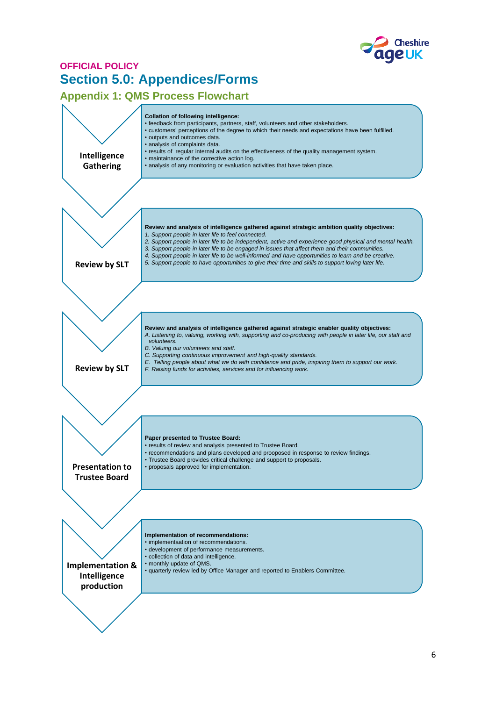

# <span id="page-5-0"></span>**OFFICIAL POLICY Section 5.0: Appendices/Forms**

## <span id="page-5-1"></span>**Appendix 1: QMS Process Flowchart**

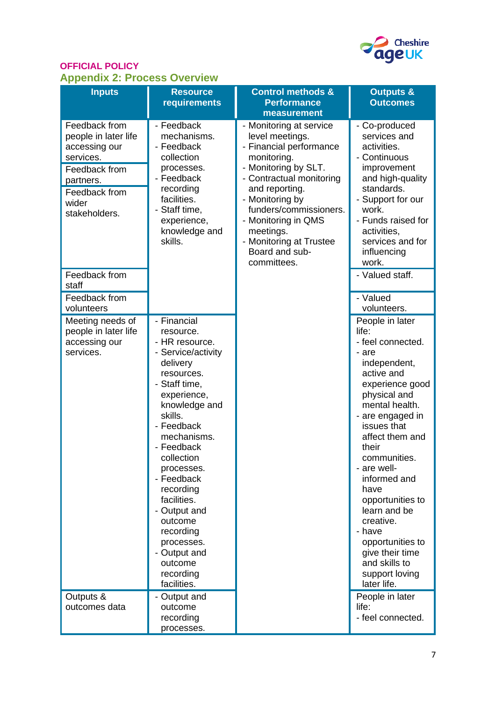

## **OFFICIAL POLICY Appendix 2: Process Overview**

<span id="page-6-0"></span>

| . .<br><b>Inputs</b>                                                                                                                         | <b>Resource</b><br>requirements                                                                                                                                                                                                                                                                                                                                                      | <b>Control methods &amp;</b><br><b>Performance</b><br>measurement                                                                                                                                                                                                                                       | <b>Outputs &amp;</b><br><b>Outcomes</b>                                                                                                                                                                                                                                                                                                                                                                             |
|----------------------------------------------------------------------------------------------------------------------------------------------|--------------------------------------------------------------------------------------------------------------------------------------------------------------------------------------------------------------------------------------------------------------------------------------------------------------------------------------------------------------------------------------|---------------------------------------------------------------------------------------------------------------------------------------------------------------------------------------------------------------------------------------------------------------------------------------------------------|---------------------------------------------------------------------------------------------------------------------------------------------------------------------------------------------------------------------------------------------------------------------------------------------------------------------------------------------------------------------------------------------------------------------|
| Feedback from<br>people in later life<br>accessing our<br>services.<br>Feedback from<br>partners.<br>Feedback from<br>wider<br>stakeholders. | - Feedback<br>mechanisms.<br>- Feedback<br>collection<br>processes.<br>- Feedback<br>recording<br>facilities.<br>- Staff time,<br>experience,<br>knowledge and<br>skills.                                                                                                                                                                                                            | - Monitoring at service<br>level meetings.<br>- Financial performance<br>monitoring.<br>- Monitoring by SLT.<br>- Contractual monitoring<br>and reporting.<br>- Monitoring by<br>funders/commissioners.<br>- Monitoring in QMS<br>meetings.<br>- Monitoring at Trustee<br>Board and sub-<br>committees. | - Co-produced<br>services and<br>activities.<br>- Continuous<br>improvement<br>and high-quality<br>standards.<br>- Support for our<br>work.<br>- Funds raised for<br>activities,<br>services and for<br>influencing<br>work.                                                                                                                                                                                        |
| Feedback from<br>staff                                                                                                                       |                                                                                                                                                                                                                                                                                                                                                                                      |                                                                                                                                                                                                                                                                                                         | - Valued staff.                                                                                                                                                                                                                                                                                                                                                                                                     |
| Feedback from<br>volunteers                                                                                                                  |                                                                                                                                                                                                                                                                                                                                                                                      |                                                                                                                                                                                                                                                                                                         | - Valued<br>volunteers.                                                                                                                                                                                                                                                                                                                                                                                             |
| Meeting needs of<br>people in later life<br>accessing our<br>services.                                                                       | - Financial<br>resource.<br>- HR resource.<br>- Service/activity<br>delivery<br>resources.<br>- Staff time,<br>experience,<br>knowledge and<br>skills.<br>- Feedback<br>mechanisms.<br>- Feedback<br>collection<br>processes.<br>- Feedback<br>recording<br>facilities.<br>- Output and<br>outcome<br>recording<br>processes.<br>- Output and<br>outcome<br>recording<br>facilities. |                                                                                                                                                                                                                                                                                                         | People in later<br>life:<br>- feel connected.<br>- are<br>independent,<br>active and<br>experience good<br>physical and<br>mental health.<br>- are engaged in<br>issues that<br>affect them and<br>their<br>communities.<br>- are well-<br>informed and<br>have<br>opportunities to<br>learn and be<br>creative.<br>- have<br>opportunities to<br>give their time<br>and skills to<br>support loving<br>later life. |
| Outputs &<br>outcomes data                                                                                                                   | - Output and<br>outcome<br>recording<br>processes.                                                                                                                                                                                                                                                                                                                                   |                                                                                                                                                                                                                                                                                                         | People in later<br>life:<br>- feel connected.                                                                                                                                                                                                                                                                                                                                                                       |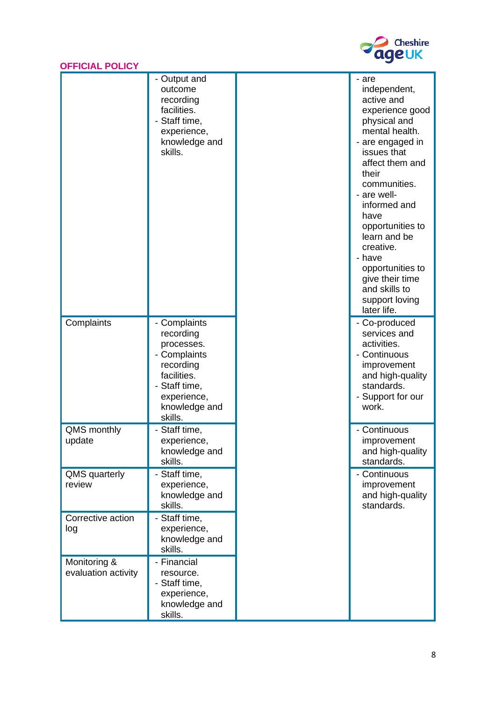

|  |  | <b>OFFICIAL POLICY</b> |  |  |
|--|--|------------------------|--|--|
|  |  |                        |  |  |

|                                     | - Output and<br>outcome<br>recording<br>facilities.<br>- Staff time,<br>experience,<br>knowledge and<br>skills.                                 | - are<br>independent,<br>active and<br>experience good<br>physical and<br>mental health.<br>- are engaged in<br>issues that<br>affect them and<br>their<br>communities.<br>- are well-<br>informed and<br>have<br>opportunities to<br>learn and be<br>creative.<br>- have<br>opportunities to<br>give their time<br>and skills to<br>support loving<br>later life. |
|-------------------------------------|-------------------------------------------------------------------------------------------------------------------------------------------------|--------------------------------------------------------------------------------------------------------------------------------------------------------------------------------------------------------------------------------------------------------------------------------------------------------------------------------------------------------------------|
| Complaints                          | - Complaints<br>recording<br>processes.<br>- Complaints<br>recording<br>facilities.<br>- Staff time,<br>experience,<br>knowledge and<br>skills. | - Co-produced<br>services and<br>activities.<br>- Continuous<br>improvement<br>and high-quality<br>standards.<br>- Support for our<br>work.                                                                                                                                                                                                                        |
| QMS monthly<br>update               | - Staff time,<br>experience<br>knowledge and<br>skills.                                                                                         | - Continuous<br>improvement<br>and high-quality<br>standards.                                                                                                                                                                                                                                                                                                      |
| QMS quarterly<br>review             | Staff time,<br>experience,<br>knowledge and<br>skills.                                                                                          | - Continuous<br>improvement<br>and high-quality<br>standards.                                                                                                                                                                                                                                                                                                      |
| Corrective action<br>log            | - Staff time,<br>experience,<br>knowledge and<br>skills.                                                                                        |                                                                                                                                                                                                                                                                                                                                                                    |
| Monitoring &<br>evaluation activity | - Financial<br>resource.<br>- Staff time,<br>experience,<br>knowledge and<br>skills.                                                            |                                                                                                                                                                                                                                                                                                                                                                    |